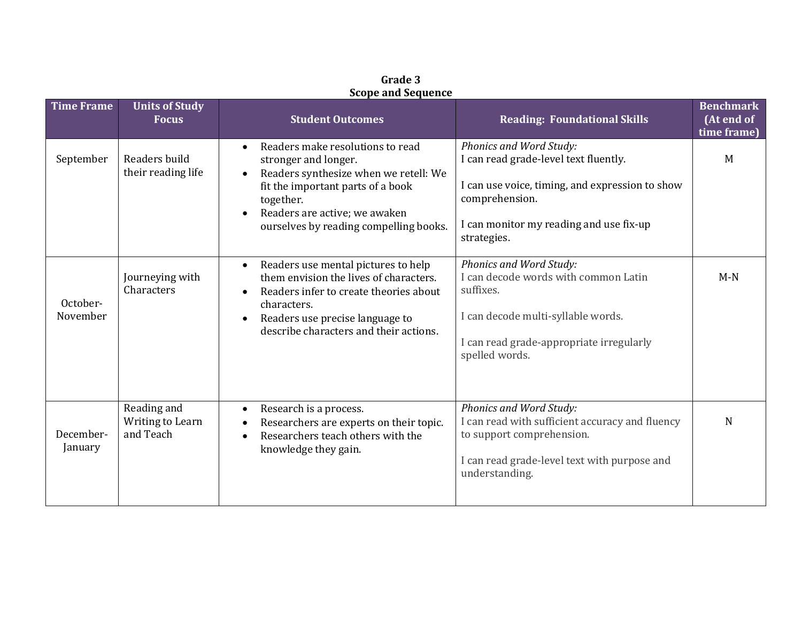|                      |                                              | <b>SCOPE ARE SEQUENCE</b>                                                                                                                                                                                                                                |                                                                                                                                                                                                 |                                               |
|----------------------|----------------------------------------------|----------------------------------------------------------------------------------------------------------------------------------------------------------------------------------------------------------------------------------------------------------|-------------------------------------------------------------------------------------------------------------------------------------------------------------------------------------------------|-----------------------------------------------|
| <b>Time Frame</b>    | <b>Units of Study</b><br><b>Focus</b>        | <b>Student Outcomes</b>                                                                                                                                                                                                                                  | <b>Reading: Foundational Skills</b>                                                                                                                                                             | <b>Benchmark</b><br>(At end of<br>time frame) |
| September            | Readers build<br>their reading life          | Readers make resolutions to read<br>stronger and longer.<br>Readers synthesize when we retell: We<br>$\bullet$<br>fit the important parts of a book<br>together.<br>Readers are active; we awaken<br>$\bullet$<br>ourselves by reading compelling books. | Phonics and Word Study:<br>I can read grade-level text fluently.<br>I can use voice, timing, and expression to show<br>comprehension.<br>I can monitor my reading and use fix-up<br>strategies. | M                                             |
| October-<br>November | Journeying with<br>Characters                | Readers use mental pictures to help<br>$\bullet$<br>them envision the lives of characters.<br>Readers infer to create theories about<br>characters.<br>Readers use precise language to<br>$\bullet$<br>describe characters and their actions.            | Phonics and Word Study:<br>I can decode words with common Latin<br>suffixes.<br>I can decode multi-syllable words.<br>I can read grade-appropriate irregularly<br>spelled words.                | $M-N$                                         |
| December-<br>January | Reading and<br>Writing to Learn<br>and Teach | Research is a process.<br>Researchers are experts on their topic.<br>Researchers teach others with the<br>knowledge they gain.                                                                                                                           | Phonics and Word Study:<br>I can read with sufficient accuracy and fluency<br>to support comprehension.<br>I can read grade-level text with purpose and<br>understanding.                       | N                                             |

**Grade 3 Scope and Sequence**